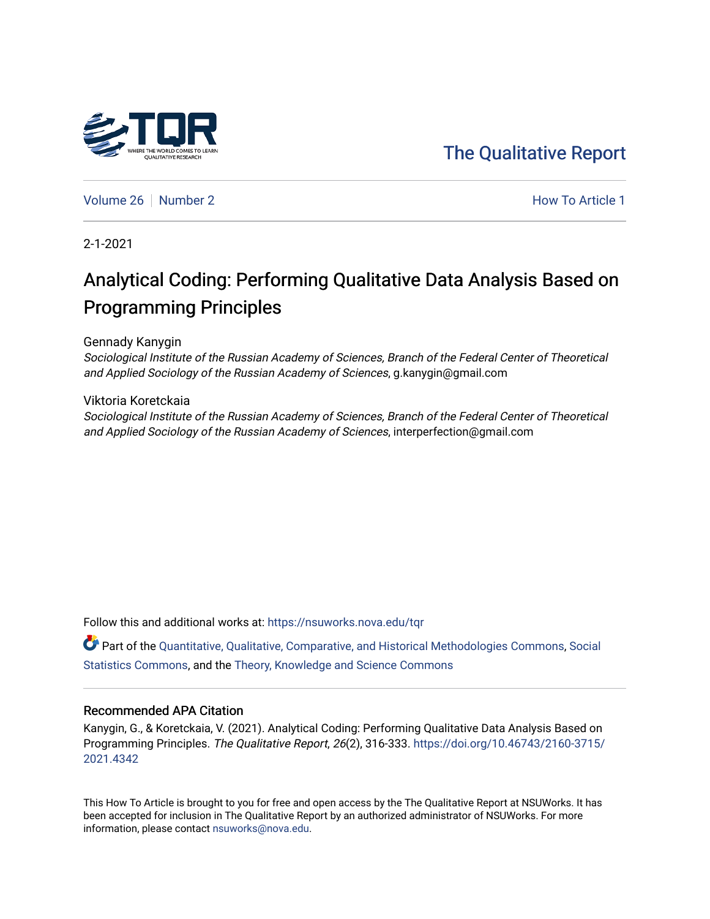## [The Qualitative Report](https://nsuworks.nova.edu/tqr)

[Volume 26](https://nsuworks.nova.edu/tqr/vol26) [Number 2](https://nsuworks.nova.edu/tqr/vol26/iss2) **How To Article 1** Number 2 **How To Article 1** 

2-1-2021

## Analytical Coding: Performing Qualitative Data Analysis Based on Programming Principles

Gennady Kanygin

Sociological Institute of the Russian Academy of Sciences, Branch of the Federal Center of Theoretical and Applied Sociology of the Russian Academy of Sciences, g.kanygin@gmail.com

Viktoria Koretckaia Sociological Institute of the Russian Academy of Sciences, Branch of the Federal Center of Theoretical and Applied Sociology of the Russian Academy of Sciences, interperfection@gmail.com

Follow this and additional works at: [https://nsuworks.nova.edu/tqr](https://nsuworks.nova.edu/tqr?utm_source=nsuworks.nova.edu%2Ftqr%2Fvol26%2Fiss2%2F1&utm_medium=PDF&utm_campaign=PDFCoverPages) 

Part of the [Quantitative, Qualitative, Comparative, and Historical Methodologies Commons,](http://network.bepress.com/hgg/discipline/423?utm_source=nsuworks.nova.edu%2Ftqr%2Fvol26%2Fiss2%2F1&utm_medium=PDF&utm_campaign=PDFCoverPages) [Social](http://network.bepress.com/hgg/discipline/1275?utm_source=nsuworks.nova.edu%2Ftqr%2Fvol26%2Fiss2%2F1&utm_medium=PDF&utm_campaign=PDFCoverPages) [Statistics Commons](http://network.bepress.com/hgg/discipline/1275?utm_source=nsuworks.nova.edu%2Ftqr%2Fvol26%2Fiss2%2F1&utm_medium=PDF&utm_campaign=PDFCoverPages), and the [Theory, Knowledge and Science Commons](http://network.bepress.com/hgg/discipline/432?utm_source=nsuworks.nova.edu%2Ftqr%2Fvol26%2Fiss2%2F1&utm_medium=PDF&utm_campaign=PDFCoverPages)

#### Recommended APA Citation

Kanygin, G., & Koretckaia, V. (2021). Analytical Coding: Performing Qualitative Data Analysis Based on Programming Principles. The Qualitative Report, 26(2), 316-333. [https://doi.org/10.46743/2160-3715/](https://doi.org/10.46743/2160-3715/2021.4342) [2021.4342](https://doi.org/10.46743/2160-3715/2021.4342) 

This How To Article is brought to you for free and open access by the The Qualitative Report at NSUWorks. It has been accepted for inclusion in The Qualitative Report by an authorized administrator of NSUWorks. For more information, please contact [nsuworks@nova.edu.](mailto:nsuworks@nova.edu)

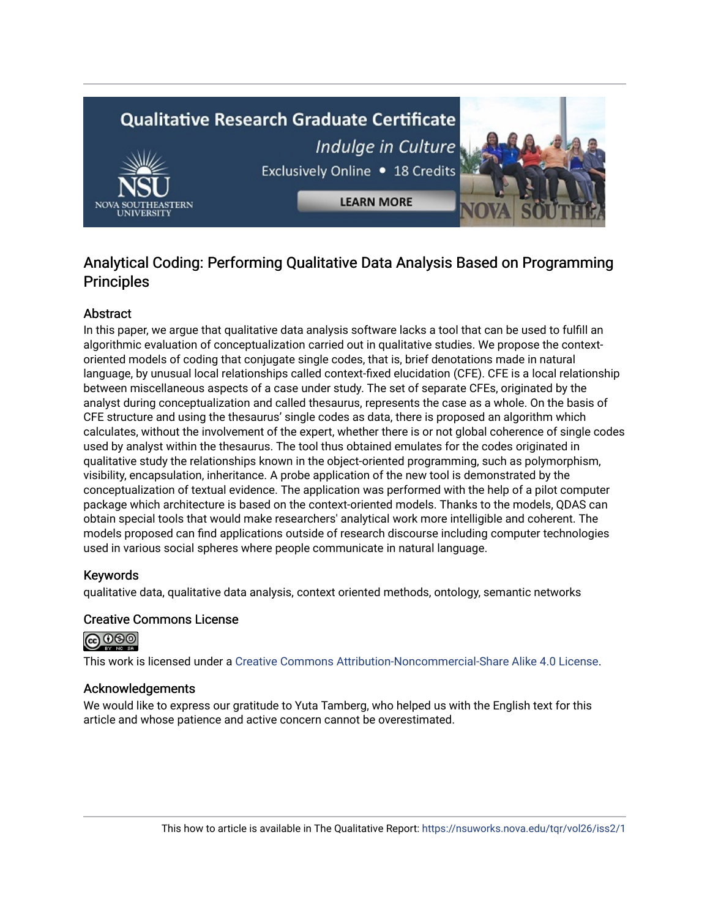# **Qualitative Research Graduate Certificate** Indulge in Culture Exclusively Online . 18 Credits **LEARN MORE**

### Analytical Coding: Performing Qualitative Data Analysis Based on Programming **Principles**

#### Abstract

In this paper, we argue that qualitative data analysis software lacks a tool that can be used to fulfill an algorithmic evaluation of conceptualization carried out in qualitative studies. We propose the contextoriented models of coding that conjugate single codes, that is, brief denotations made in natural language, by unusual local relationships called context-fixed elucidation (CFE). CFE is a local relationship between miscellaneous aspects of a case under study. The set of separate CFEs, originated by the analyst during conceptualization and called thesaurus, represents the case as a whole. On the basis of CFE structure and using the thesaurus' single codes as data, there is proposed an algorithm which calculates, without the involvement of the expert, whether there is or not global coherence of single codes used by analyst within the thesaurus. The tool thus obtained emulates for the codes originated in qualitative study the relationships known in the object-oriented programming, such as polymorphism, visibility, encapsulation, inheritance. A probe application of the new tool is demonstrated by the conceptualization of textual evidence. The application was performed with the help of a pilot computer package which architecture is based on the context-oriented models. Thanks to the models, QDAS can obtain special tools that would make researchers' analytical work more intelligible and coherent. The models proposed can find applications outside of research discourse including computer technologies used in various social spheres where people communicate in natural language.

#### Keywords

qualitative data, qualitative data analysis, context oriented methods, ontology, semantic networks

#### Creative Commons License



This work is licensed under a [Creative Commons Attribution-Noncommercial-Share Alike 4.0 License](https://creativecommons.org/licenses/by-nc-sa/4.0/).

#### Acknowledgements

We would like to express our gratitude to Yuta Tamberg, who helped us with the English text for this article and whose patience and active concern cannot be overestimated.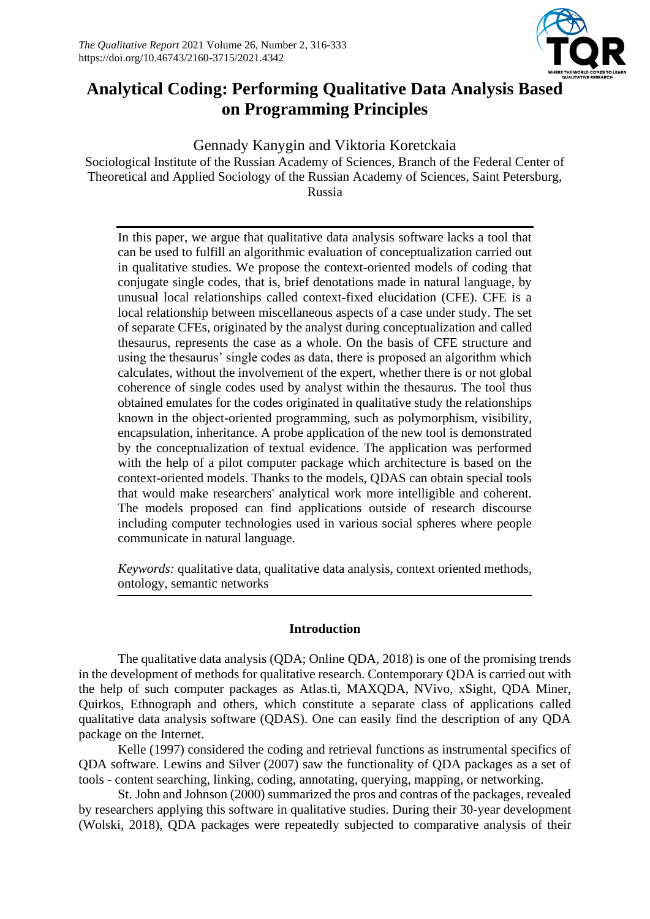

## **Analytical Coding: Performing Qualitative Data Analysis Based on Programming Principles**

Gennady Kanygin and Viktoria Koretckaia Sociological Institute of the Russian Academy of Sciences, Branch of the Federal Center of Theoretical and Applied Sociology of the Russian Academy of Sciences, Saint Petersburg, Russia

In this paper, we argue that qualitative data analysis software lacks a tool that can be used to fulfill an algorithmic evaluation of conceptualization carried out in qualitative studies. We propose the context-oriented models of coding that conjugate single codes, that is, brief denotations made in natural language, by unusual local relationships called context-fixed elucidation (CFE). CFE is a local relationship between miscellaneous aspects of a case under study. The set of separate CFEs, originated by the analyst during conceptualization and called thesaurus, represents the case as a whole. On the basis of CFE structure and using the thesaurus' single codes as data, there is proposed an algorithm which calculates, without the involvement of the expert, whether there is or not global coherence of single codes used by analyst within the thesaurus. The tool thus obtained emulates for the codes originated in qualitative study the relationships known in the object-oriented programming, such as polymorphism, visibility, encapsulation, inheritance. A probe application of the new tool is demonstrated by the conceptualization of textual evidence. The application was performed with the help of a pilot computer package which architecture is based on the context-oriented models. Thanks to the models, QDAS can obtain special tools that would make researchers' analytical work more intelligible and coherent. The models proposed can find applications outside of research discourse including computer technologies used in various social spheres where people communicate in natural language.

*Keywords:* qualitative data, qualitative data analysis, context oriented methods, ontology, semantic networks

#### **Introduction**

The qualitative data analysis (QDA; Online QDA, 2018) is one of the promising trends in the development of methods for qualitative research. Contemporary QDA is carried out with the help of such computer packages as Atlas.ti, MAXQDA, NVivo, xSight, QDA Miner, Quirkos, Ethnograph and others, which constitute a separate class of applications called qualitative data analysis software (QDAS). One can easily find the description of any QDA package on the Internet.

Kelle (1997) considered the coding and retrieval functions as instrumental specifics of QDA software. Lewins and Silver (2007) saw the functionality of QDA packages as a set of tools - content searching, linking, coding, annotating, querying, mapping, or networking.

St. John and Johnson (2000) summarized the pros and contras of the packages, revealed by researchers applying this software in qualitative studies. During their 30-year development (Wolski, 2018), QDA packages were repeatedly subjected to comparative analysis of their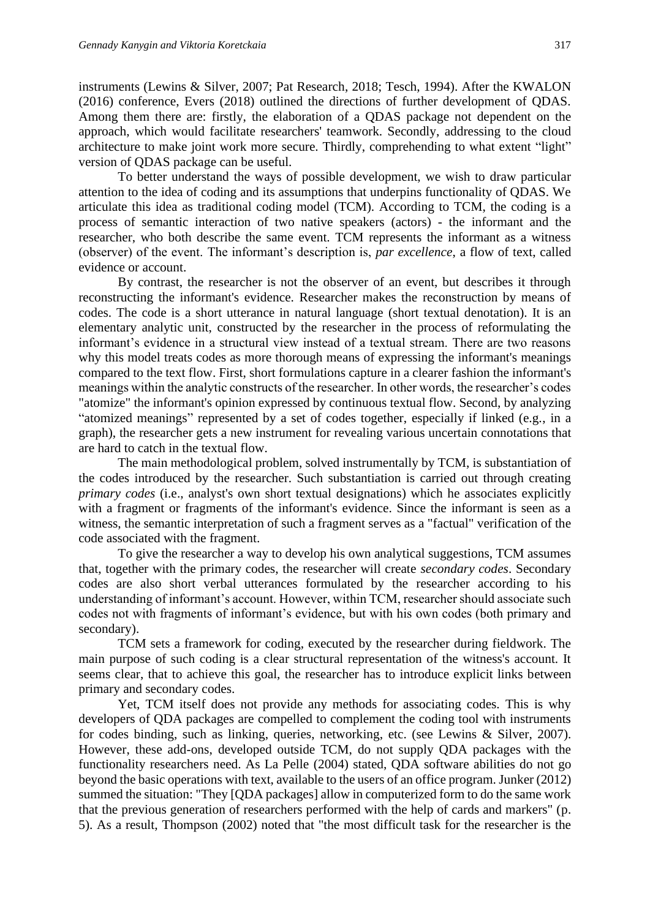instruments (Lewins & Silver, 2007; Pat Research, 2018; Tesch, 1994). After the KWALON (2016) conference, Evers (2018) outlined the directions of further development of QDAS. Among them there are: firstly, the elaboration of a QDAS package not dependent on the approach, which would facilitate researchers' teamwork. Secondly, addressing to the cloud architecture to make joint work more secure. Thirdly, comprehending to what extent "light" version of QDAS package can be useful.

To better understand the ways of possible development, we wish to draw particular attention to the idea of coding and its assumptions that underpins functionality of QDAS. We articulate this idea as traditional coding model (TCM). According to TCM, the coding is a process of semantic interaction of two native speakers (actors) - the informant and the researcher, who both describe the same event. TCM represents the informant as a witness (observer) of the event. The informant's description is, *par excellence*, a flow of text, called evidence or account.

By contrast, the researcher is not the observer of an event, but describes it through reconstructing the informant's evidence. Researcher makes the reconstruction by means of codes. The code is a short utterance in natural language (short textual denotation). It is an elementary analytic unit, constructed by the researcher in the process of reformulating the informant's evidence in a structural view instead of a textual stream. There are two reasons why this model treats codes as more thorough means of expressing the informant's meanings compared to the text flow. First, short formulations capture in a clearer fashion the informant's meanings within the analytic constructs of the researcher. In other words, the researcher's codes "atomize" the informant's opinion expressed by continuous textual flow. Second, by analyzing "atomized meanings" represented by a set of codes together, especially if linked (e.g., in a graph), the researcher gets a new instrument for revealing various uncertain connotations that are hard to catch in the textual flow.

The main methodological problem, solved instrumentally by TCM, is substantiation of the codes introduced by the researcher. Such substantiation is carried out through creating *primary codes* (i.e., analyst's own short textual designations) which he associates explicitly with a fragment or fragments of the informant's evidence. Since the informant is seen as a witness, the semantic interpretation of such a fragment serves as a "factual" verification of the code associated with the fragment.

To give the researcher a way to develop his own analytical suggestions, TCM assumes that, together with the primary codes, the researcher will create *secondary codes*. Secondary codes are also short verbal utterances formulated by the researcher according to his understanding of informant's account. However, within TCM, researcher should associate such codes not with fragments of informant's evidence, but with his own codes (both primary and secondary).

TCM sets a framework for coding, executed by the researcher during fieldwork. The main purpose of such coding is a clear structural representation of the witness's account. It seems clear, that to achieve this goal, the researcher has to introduce explicit links between primary and secondary codes.

Yet, TCM itself does not provide any methods for associating codes. This is why developers of QDA packages are compelled to complement the coding tool with instruments for codes binding, such as linking, queries, networking, etc. (see Lewins & Silver, 2007). However, these add-ons, developed outside TCM, do not supply QDA packages with the functionality researchers need. As La Pelle (2004) stated, QDA software abilities do not go beyond the basic operations with text, available to the users of an office program. Junker (2012) summed the situation: "They [QDA packages] allow in computerized form to do the same work that the previous generation of researchers performed with the help of cards and markers" (p. 5). As a result, Thompson (2002) noted that "the most difficult task for the researcher is the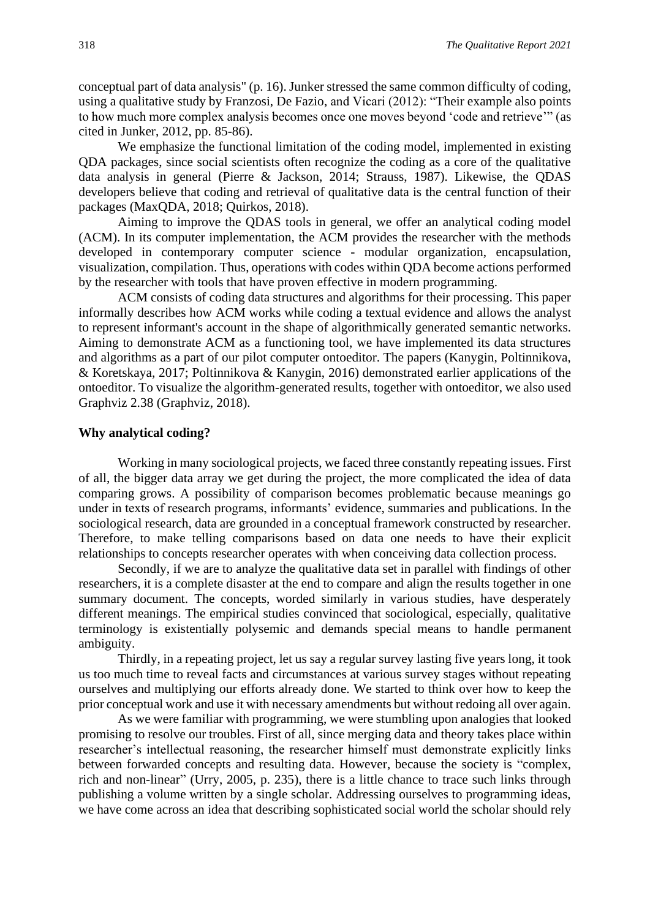conceptual part of data analysis" (p. 16). Junker stressed the same common difficulty of coding, using a qualitative study by Franzosi, De Fazio, and Vicari (2012): "Their example also points to how much more complex analysis becomes once one moves beyond 'code and retrieve'" (as cited in Junker, 2012, pp. 85-86).

We emphasize the functional limitation of the coding model, implemented in existing QDA packages, since social scientists often recognize the coding as a core of the qualitative data analysis in general (Pierre & Jackson, 2014; Strauss, 1987). Likewise, the QDAS developers believe that coding and retrieval of qualitative data is the central function of their packages (MaxQDA, 2018; Quirkos, 2018).

Aiming to improve the QDAS tools in general, we offer an analytical coding model (ACM). In its computer implementation, the ACM provides the researcher with the methods developed in contemporary computer science - modular organization, encapsulation, visualization, compilation. Thus, operations with codes within QDA become actions performed by the researcher with tools that have proven effective in modern programming.

ACM consists of coding data structures and algorithms for their processing. This paper informally describes how ACM works while coding a textual evidence and allows the analyst to represent informant's account in the shape of algorithmically generated semantic networks. Aiming to demonstrate ACM as a functioning tool, we have implemented its data structures and algorithms as a part of our pilot computer ontoeditor. The papers (Kanygin, Poltinnikova, & Koretskaya, 2017; Poltinnikova & Kanygin, 2016) demonstrated earlier applications of the ontoeditor. To visualize the algorithm-generated results, together with ontoeditor, we also used Graphviz 2.38 (Graphviz, 2018).

#### **Why analytical coding?**

Working in many sociological projects, we faced three constantly repeating issues. First of all, the bigger data array we get during the project, the more complicated the idea of data comparing grows. A possibility of comparison becomes problematic because meanings go under in texts of research programs, informants' evidence, summaries and publications. In the sociological research, data are grounded in a conceptual framework constructed by researcher. Therefore, to make telling comparisons based on data one needs to have their explicit relationships to concepts researcher operates with when conceiving data collection process.

Secondly, if we are to analyze the qualitative data set in parallel with findings of other researchers, it is a complete disaster at the end to compare and align the results together in one summary document. The concepts, worded similarly in various studies, have desperately different meanings. The empirical studies convinced that sociological, especially, qualitative terminology is existentially polysemic and demands special means to handle permanent ambiguity.

Thirdly, in a repeating project, let us say a regular survey lasting five years long, it took us too much time to reveal facts and circumstances at various survey stages without repeating ourselves and multiplying our efforts already done. We started to think over how to keep the prior conceptual work and use it with necessary amendments but without redoing all over again.

As we were familiar with programming, we were stumbling upon analogies that looked promising to resolve our troubles. First of all, since merging data and theory takes place within researcher's intellectual reasoning, the researcher himself must demonstrate explicitly links between forwarded concepts and resulting data. However, because the society is "complex, rich and non-linear" (Urry, 2005, p. 235), there is a little chance to trace such links through publishing a volume written by a single scholar. Addressing ourselves to programming ideas, we have come across an idea that describing sophisticated social world the scholar should rely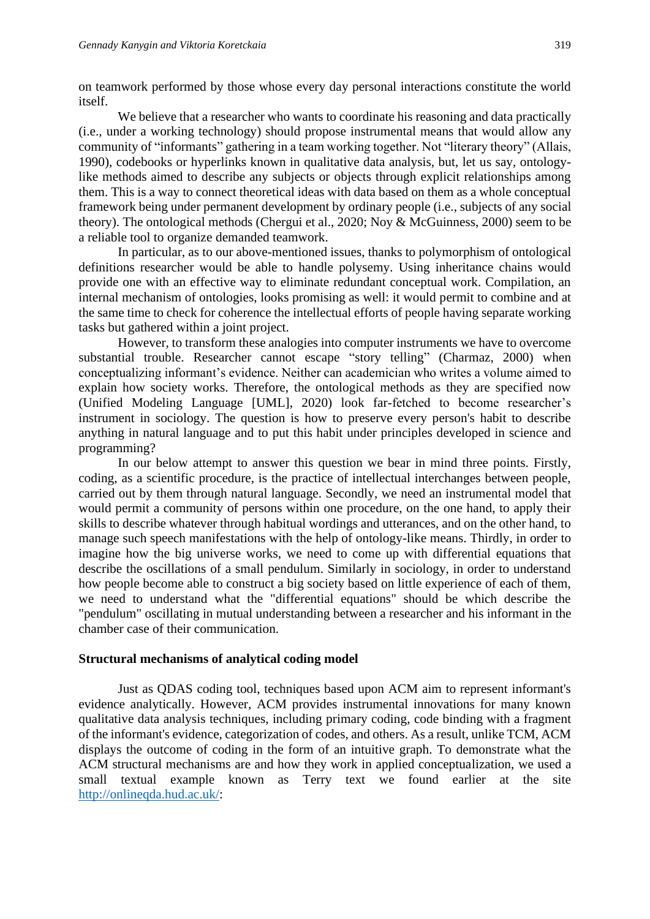on teamwork performed by those whose every day personal interactions constitute the world itself.

We believe that a researcher who wants to coordinate his reasoning and data practically (i.e., under a working technology) should propose instrumental means that would allow any community of "informants" gathering in a team working together. Not "literary theory" (Allais, 1990), codebooks or hyperlinks known in qualitative data analysis, but, let us say, ontologylike methods aimed to describe any subjects or objects through explicit relationships among them. This is a way to connect theoretical ideas with data based on them as a whole conceptual framework being under permanent development by ordinary people (i.e., subjects of any social theory). The ontological methods (Chergui et al., 2020; Noy & McGuinness, 2000) seem to be a reliable tool to organize demanded teamwork.

In particular, as to our above-mentioned issues, thanks to polymorphism of ontological definitions researcher would be able to handle polysemy. Using inheritance chains would provide one with an effective way to eliminate redundant conceptual work. Compilation, an internal mechanism of ontologies, looks promising as well: it would permit to combine and at the same time to check for coherence the intellectual efforts of people having separate working tasks but gathered within a joint project.

However, to transform these analogies into computer instruments we have to overcome substantial trouble. Researcher cannot escape "story telling" (Charmaz, 2000) when conceptualizing informant's evidence. Neither can academician who writes a volume aimed to explain how society works. Therefore, the ontological methods as they are specified now (Unified Modeling Language [UML], 2020) look far-fetched to become researcher's instrument in sociology. The question is how to preserve every person's habit to describe anything in natural language and to put this habit under principles developed in science and programming?

In our below attempt to answer this question we bear in mind three points. Firstly, coding, as a scientific procedure, is the practice of intellectual interchanges between people, carried out by them through natural language. Secondly, we need an instrumental model that would permit a community of persons within one procedure, on the one hand, to apply their skills to describe whatever through habitual wordings and utterances, and on the other hand, to manage such speech manifestations with the help of ontology-like means. Thirdly, in order to imagine how the big universe works, we need to come up with differential equations that describe the oscillations of a small pendulum. Similarly in sociology, in order to understand how people become able to construct a big society based on little experience of each of them, we need to understand what the "differential equations" should be which describe the "pendulum" oscillating in mutual understanding between a researcher and his informant in the chamber case of their communication.

#### **Structural mechanisms of analytical coding model**

Just as QDAS coding tool, techniques based upon ACM aim to represent informant's evidence analytically. However, ACM provides instrumental innovations for many known qualitative data analysis techniques, including primary coding, code binding with a fragment of the informant's evidence, categorization of codes, and others. As a result, unlike TCM, ACM displays the outcome of coding in the form of an intuitive graph. To demonstrate what the ACM structural mechanisms are and how they work in applied conceptualization, we used a small textual example known as Terry text we found earlier at the site [http://onlineqda.hud.ac.uk/:](http://onlineqda.hud.ac.uk/)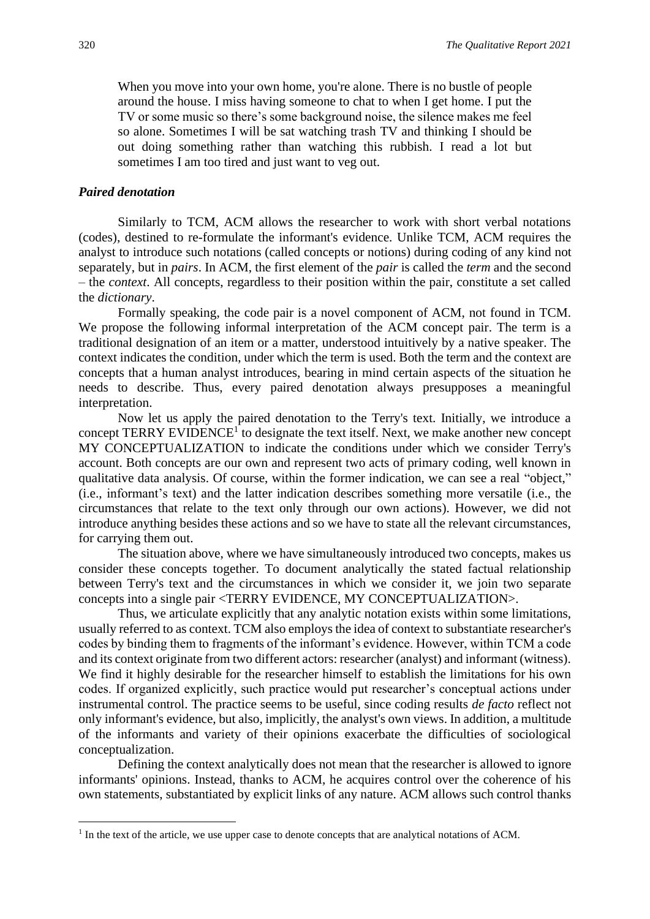When you move into your own home, you're alone. There is no bustle of people around the house. I miss having someone to chat to when I get home. I put the TV or some music so there's some background noise, the silence makes me feel so alone. Sometimes I will be sat watching trash TV and thinking I should be out doing something rather than watching this rubbish. I read a lot but sometimes I am too tired and just want to veg out.

#### *Paired denotation*

Similarly to TCM, ACM allows the researcher to work with short verbal notations (codes), destined to re-formulate the informant's evidence. Unlike TCM, ACM requires the analyst to introduce such notations (called concepts or notions) during coding of any kind not separately, but in *pairs*. In ACM, the first element of the *pair* is called the *term* and the second – the *context*. All concepts, regardless to their position within the pair, constitute a set called the *dictionary*.

Formally speaking, the code pair is a novel component of ACM, not found in TCM. We propose the following informal interpretation of the ACM concept pair. The term is a traditional designation of an item or a matter, understood intuitively by a native speaker. The context indicates the condition, under which the term is used. Both the term and the context are concepts that a human analyst introduces, bearing in mind certain aspects of the situation he needs to describe. Thus, every paired denotation always presupposes a meaningful interpretation.

Now let us apply the paired denotation to the Terry's text. Initially, we introduce a concept TERRY EVIDENCE<sup>1</sup> to designate the text itself. Next, we make another new concept MY CONCEPTUALIZATION to indicate the conditions under which we consider Terry's account. Both concepts are our own and represent two acts of primary coding, well known in qualitative data analysis. Of course, within the former indication, we can see a real "object," (i.e., informant's text) and the latter indication describes something more versatile (i.e., the circumstances that relate to the text only through our own actions). However, we did not introduce anything besides these actions and so we have to state all the relevant circumstances, for carrying them out.

The situation above, where we have simultaneously introduced two concepts, makes us consider these concepts together. To document analytically the stated factual relationship between Terry's text and the circumstances in which we consider it, we join two separate concepts into a single pair <TERRY EVIDENCE, MY CONCEPTUALIZATION>.

Thus, we articulate explicitly that any analytic notation exists within some limitations, usually referred to as context. TCM also employs the idea of context to substantiate researcher's codes by binding them to fragments of the informant's evidence. However, within TCM a code and its context originate from two different actors: researcher (analyst) and informant (witness). We find it highly desirable for the researcher himself to establish the limitations for his own codes. If organized explicitly, such practice would put researcher's conceptual actions under instrumental control. The practice seems to be useful, since coding results *de facto* reflect not only informant's evidence, but also, implicitly, the analyst's own views. In addition, a multitude of the informants and variety of their opinions exacerbate the difficulties of sociological conceptualization.

Defining the context analytically does not mean that the researcher is allowed to ignore informants' opinions. Instead, thanks to ACM, he acquires control over the coherence of his own statements, substantiated by explicit links of any nature. ACM allows such control thanks

<sup>&</sup>lt;sup>1</sup> In the text of the article, we use upper case to denote concepts that are analytical notations of ACM.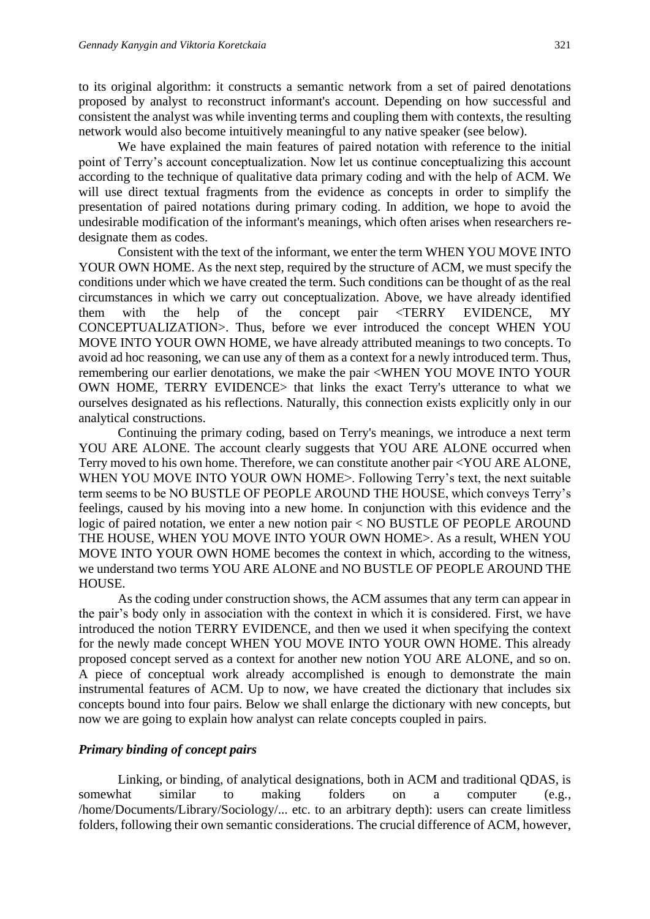to its original algorithm: it constructs a semantic network from a set of paired denotations proposed by analyst to reconstruct informant's account. Depending on how successful and consistent the analyst was while inventing terms and coupling them with contexts, the resulting network would also become intuitively meaningful to any native speaker (see below).

We have explained the main features of paired notation with reference to the initial point of Terry's account conceptualization. Now let us continue conceptualizing this account according to the technique of qualitative data primary coding and with the help of ACM. We will use direct textual fragments from the evidence as concepts in order to simplify the presentation of paired notations during primary coding. In addition, we hope to avoid the undesirable modification of the informant's meanings, which often arises when researchers redesignate them as codes.

Consistent with the text of the informant, we enter the term WHEN YOU MOVE INTO YOUR OWN HOME. As the next step, required by the structure of ACM, we must specify the conditions under which we have created the term. Such conditions can be thought of as the real circumstances in which we carry out conceptualization. Above, we have already identified them with the help of the concept pair <TERRY EVIDENCE, MY CONCEPTUALIZATION>. Thus, before we ever introduced the concept WHEN YOU MOVE INTO YOUR OWN HOME, we have already attributed meanings to two concepts. To avoid ad hoc reasoning, we can use any of them as a context for a newly introduced term. Thus, remembering our earlier denotations, we make the pair <WHEN YOU MOVE INTO YOUR OWN HOME, TERRY EVIDENCE> that links the exact Terry's utterance to what we ourselves designated as his reflections. Naturally, this connection exists explicitly only in our analytical constructions.

Continuing the primary coding, based on Terry's meanings, we introduce a next term YOU ARE ALONE. The account clearly suggests that YOU ARE ALONE occurred when Terry moved to his own home. Therefore, we can constitute another pair <YOU ARE ALONE, WHEN YOU MOVE INTO YOUR OWN HOME>. Following Terry's text, the next suitable term seems to be NO BUSTLE OF PEOPLE AROUND THE HOUSE, which conveys Terry's feelings, caused by his moving into a new home. In conjunction with this evidence and the logic of paired notation, we enter a new notion pair < NO BUSTLE OF PEOPLE AROUND THE HOUSE, WHEN YOU MOVE INTO YOUR OWN HOME>. As a result, WHEN YOU MOVE INTO YOUR OWN HOME becomes the context in which, according to the witness, we understand two terms YOU ARE ALONE and NO BUSTLE OF PEOPLE AROUND THE HOUSE.

As the coding under construction shows, the ACM assumes that any term can appear in the pair's body only in association with the context in which it is considered. First, we have introduced the notion TERRY EVIDENCE, and then we used it when specifying the context for the newly made concept WHEN YOU MOVE INTO YOUR OWN HOME. This already proposed concept served as a context for another new notion YOU ARE ALONE, and so on. A piece of conceptual work already accomplished is enough to demonstrate the main instrumental features of ACM. Up to now, we have created the dictionary that includes six concepts bound into four pairs. Below we shall enlarge the dictionary with new concepts, but now we are going to explain how analyst can relate concepts coupled in pairs.

#### *Primary binding of concept pairs*

Linking, or binding, of analytical designations, both in ACM and traditional QDAS, is somewhat similar to making folders on a computer (e.g., /home/Documents/Library/Sociology/... etc. to an arbitrary depth): users can create limitless folders, following their own semantic considerations. The crucial difference of ACM, however,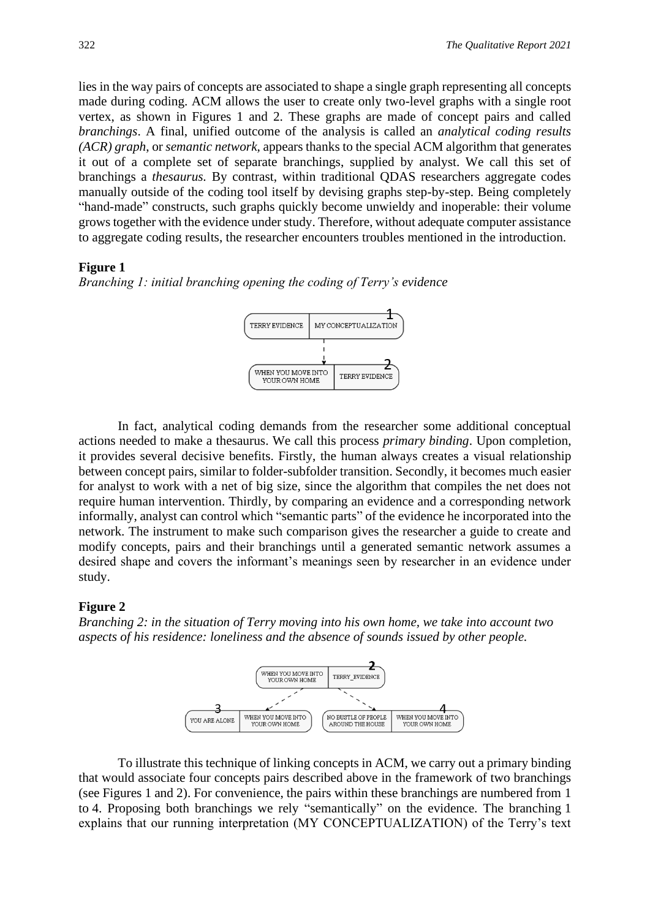lies in the way pairs of concepts are associated to shape a single graph representing all concepts made during coding. ACM allows the user to create only two-level graphs with a single root vertex, as shown in Figures 1 and 2. These graphs are made of concept pairs and called *branchings*. A final, unified outcome of the analysis is called an *analytical coding results (ACR) graph*, or *semantic network,* appears thanks to the special ACM algorithm that generates it out of a complete set of separate branchings, supplied by analyst. We call this set of branchings a *thesaurus.* By contrast, within traditional QDAS researchers aggregate codes manually outside of the coding tool itself by devising graphs step-by-step. Being completely "hand-made" constructs, such graphs quickly become unwieldy and inoperable: their volume grows together with the evidence under study. Therefore, without adequate computer assistance to aggregate coding results, the researcher encounters troubles mentioned in the introduction.

#### **Figure 1**

*Branching 1: initial branching opening the coding of Terry's evidence*



In fact, analytical coding demands from the researcher some additional conceptual actions needed to make a thesaurus. We call this process *primary binding*. Upon completion, it provides several decisive benefits. Firstly, the human always creates a visual relationship between concept pairs, similar to folder-subfolder transition. Secondly, it becomes much easier for analyst to work with a net of big size, since the algorithm that compiles the net does not require human intervention. Thirdly, by comparing an evidence and a corresponding network informally, analyst can control which "semantic parts" of the evidence he incorporated into the network. The instrument to make such comparison gives the researcher a guide to create and modify concepts, pairs and their branchings until a generated semantic network assumes a desired shape and covers the informant's meanings seen by researcher in an evidence under study.

#### **Figure 2**

*Branching 2: in the situation of Terry moving into his own home, we take into account two aspects of his residence: loneliness and the absence of sounds issued by other people.*



To illustrate this technique of linking concepts in ACM, we carry out a primary binding that would associate four concepts pairs described above in the framework of two branchings (see Figures 1 and 2). For convenience, the pairs within these branchings are numbered from 1 to 4. Proposing both branchings we rely "semantically" on the evidence. The branching 1 explains that our running interpretation (MY CONCEPTUALIZATION) of the Terry's text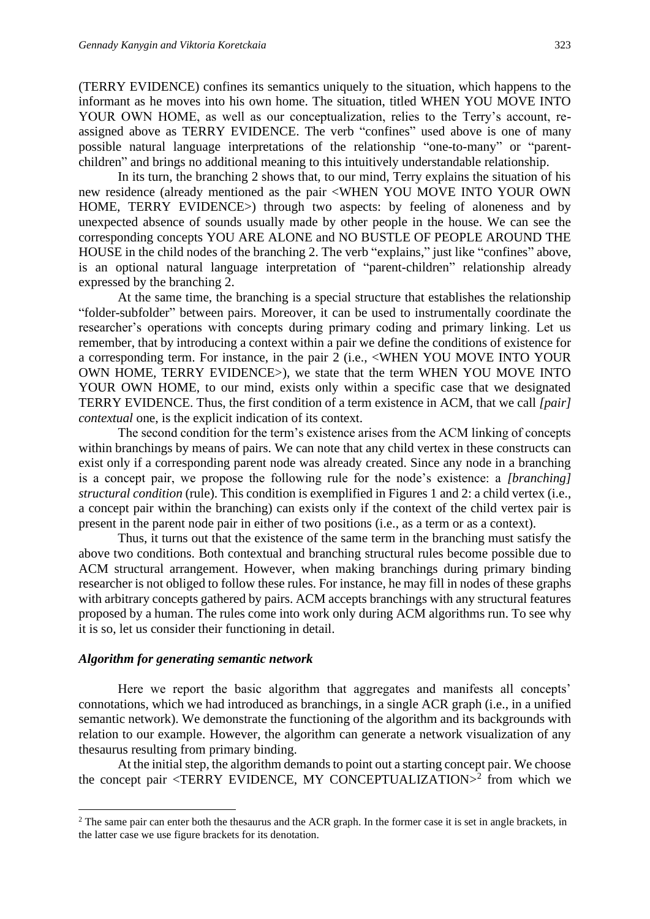(TERRY EVIDENCE) confines its semantics uniquely to the situation, which happens to the informant as he moves into his own home. The situation, titled WHEN YOU MOVE INTO YOUR OWN HOME, as well as our conceptualization, relies to the Terry's account, reassigned above as TERRY EVIDENCE. The verb "confines" used above is one of many possible natural language interpretations of the relationship "one-to-many" or "parentchildren" and brings no additional meaning to this intuitively understandable relationship.

In its turn, the branching 2 shows that, to our mind, Terry explains the situation of his new residence (already mentioned as the pair <WHEN YOU MOVE INTO YOUR OWN HOME, TERRY EVIDENCE>) through two aspects: by feeling of aloneness and by unexpected absence of sounds usually made by other people in the house. We can see the corresponding concepts YOU ARE ALONE and NO BUSTLE OF PEOPLE AROUND THE HOUSE in the child nodes of the branching 2. The verb "explains," just like "confines" above, is an optional natural language interpretation of "parent-children" relationship already expressed by the branching 2.

At the same time, the branching is a special structure that establishes the relationship "folder-subfolder" between pairs. Moreover, it can be used to instrumentally coordinate the researcher's operations with concepts during primary coding and primary linking. Let us remember, that by introducing a context within a pair we define the conditions of existence for a corresponding term. For instance, in the pair 2 (i.e., <WHEN YOU MOVE INTO YOUR OWN HOME, TERRY EVIDENCE>), we state that the term WHEN YOU MOVE INTO YOUR OWN HOME, to our mind, exists only within a specific case that we designated TERRY EVIDENCE. Thus, the first condition of a term existence in ACM, that we call *[pair] contextual* one, is the explicit indication of its context.

The second condition for the term's existence arises from the ACM linking of concepts within branchings by means of pairs. We can note that any child vertex in these constructs can exist only if a corresponding parent node was already created. Since any node in a branching is a concept pair, we propose the following rule for the node's existence: a *[branching] structural condition* (rule). This condition is exemplified in Figures 1 and 2: a child vertex (i.e., a concept pair within the branching) can exists only if the context of the child vertex pair is present in the parent node pair in either of two positions (i.e., as a term or as a context).

Thus, it turns out that the existence of the same term in the branching must satisfy the above two conditions. Both contextual and branching structural rules become possible due to ACM structural arrangement. However, when making branchings during primary binding researcher is not obliged to follow these rules. For instance, he may fill in nodes of these graphs with arbitrary concepts gathered by pairs. ACM accepts branchings with any structural features proposed by a human. The rules come into work only during ACM algorithms run. To see why it is so, let us consider their functioning in detail.

#### *Algorithm for generating semantic network*

Here we report the basic algorithm that aggregates and manifests all concepts' connotations, which we had introduced as branchings, in a single ACR graph (i.e., in a unified semantic network). We demonstrate the functioning of the algorithm and its backgrounds with relation to our example. However, the algorithm can generate a network visualization of any thesaurus resulting from primary binding.

At the initial step, the algorithm demands to point out a starting concept pair. We choose the concept pair <TERRY EVIDENCE, MY CONCEPTUALIZATION $>^2$  from which we

<sup>&</sup>lt;sup>2</sup> The same pair can enter both the thesaurus and the ACR graph. In the former case it is set in angle brackets, in the latter case we use figure brackets for its denotation.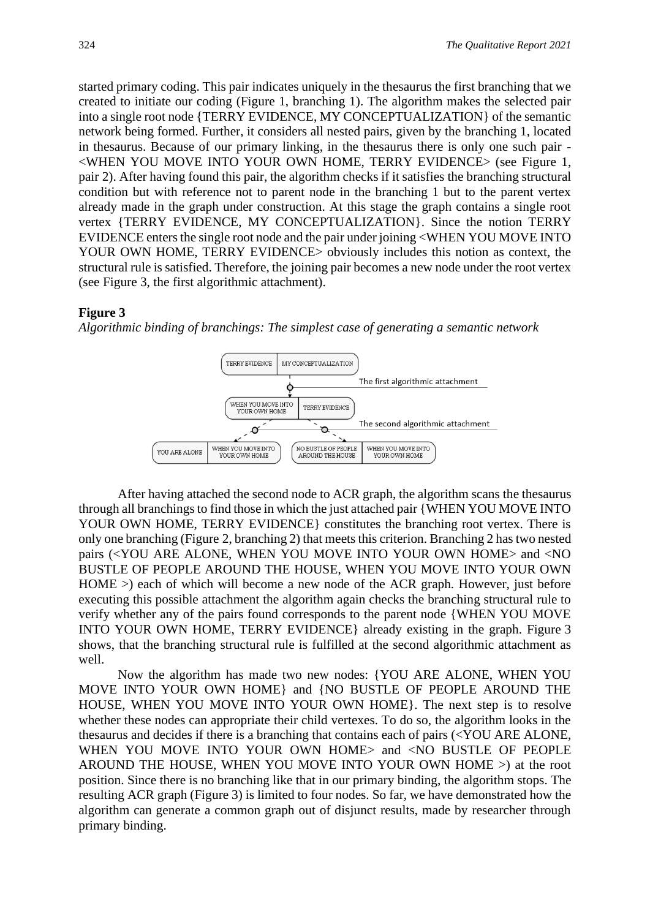started primary coding. This pair indicates uniquely in the thesaurus the first branching that we created to initiate our coding (Figure 1, branching 1). The algorithm makes the selected pair into a single root node {TERRY EVIDENCE, MY CONCEPTUALIZATION} of the semantic network being formed. Further, it considers all nested pairs, given by the branching 1, located in thesaurus. Because of our primary linking, in the thesaurus there is only one such pair - <WHEN YOU MOVE INTO YOUR OWN HOME, TERRY EVIDENCE> (see Figure 1, pair 2). After having found this pair, the algorithm checks if it satisfies the branching structural condition but with reference not to parent node in the branching 1 but to the parent vertex already made in the graph under construction. At this stage the graph contains a single root vertex {TERRY EVIDENCE, MY CONCEPTUALIZATION}. Since the notion TERRY EVIDENCE enters the single root node and the pair under joining <WHEN YOU MOVE INTO YOUR OWN HOME, TERRY EVIDENCE> obviously includes this notion as context, the structural rule is satisfied. Therefore, the joining pair becomes a new node under the root vertex (see Figure 3, the first algorithmic attachment).

#### **Figure 3**

*Algorithmic binding of branchings: The simplest case of generating a semantic network*



After having attached the second node to ACR graph, the algorithm scans the thesaurus through all branchings to find those in which the just attached pair {WHEN YOU MOVE INTO YOUR OWN HOME, TERRY EVIDENCE} constitutes the branching root vertex. There is only one branching (Figure 2, branching 2) that meets this criterion. Branching 2 has two nested pairs (<YOU ARE ALONE, WHEN YOU MOVE INTO YOUR OWN HOME> and <NO BUSTLE OF PEOPLE AROUND THE HOUSE, WHEN YOU MOVE INTO YOUR OWN HOME >) each of which will become a new node of the ACR graph. However, just before executing this possible attachment the algorithm again checks the branching structural rule to verify whether any of the pairs found corresponds to the parent node {WHEN YOU MOVE INTO YOUR OWN HOME, TERRY EVIDENCE} already existing in the graph. Figure 3 shows, that the branching structural rule is fulfilled at the second algorithmic attachment as well.

Now the algorithm has made two new nodes: {YOU ARE ALONE, WHEN YOU MOVE INTO YOUR OWN HOME} and {NO BUSTLE OF PEOPLE AROUND THE HOUSE, WHEN YOU MOVE INTO YOUR OWN HOME}. The next step is to resolve whether these nodes can appropriate their child vertexes. To do so, the algorithm looks in the thesaurus and decides if there is a branching that contains each of pairs (<YOU ARE ALONE, WHEN YOU MOVE INTO YOUR OWN HOME> and <NO BUSTLE OF PEOPLE AROUND THE HOUSE, WHEN YOU MOVE INTO YOUR OWN HOME >) at the root position. Since there is no branching like that in our primary binding, the algorithm stops. The resulting ACR graph (Figure 3) is limited to four nodes. So far, we have demonstrated how the algorithm can generate a common graph out of disjunct results, made by researcher through primary binding.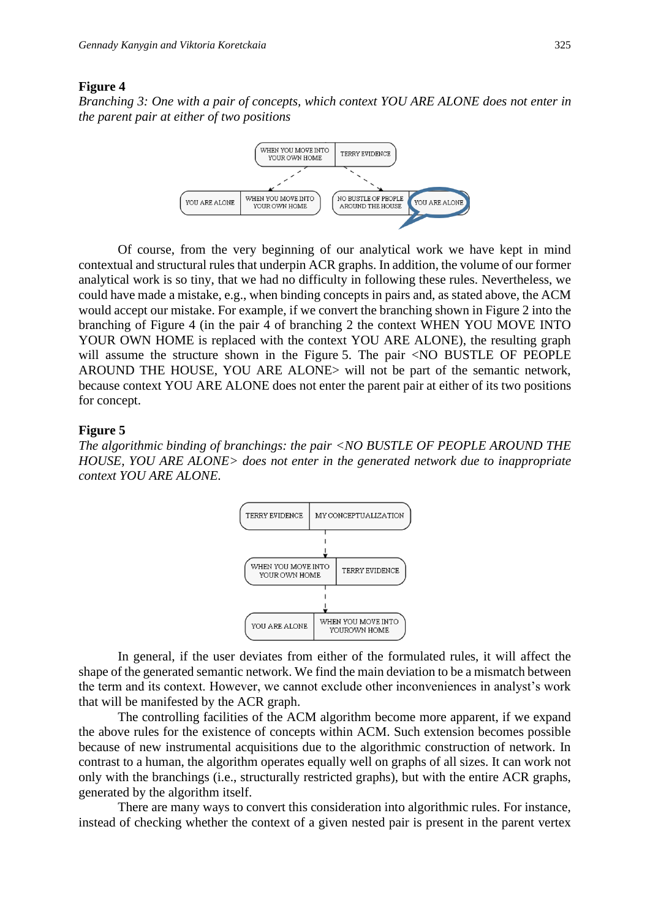#### **Figure 4**

*Branching 3: One with a pair of concepts, which context YOU ARE ALONE does not enter in the parent pair at either of two positions*



Of course, from the very beginning of our analytical work we have kept in mind contextual and structural rules that underpin ACR graphs. In addition, the volume of our former analytical work is so tiny, that we had no difficulty in following these rules. Nevertheless, we could have made a mistake, e.g., when binding concepts in pairs and, as stated above, the ACM would accept our mistake. For example, if we convert the branching shown in Figure 2 into the branching of Figure 4 (in the pair 4 of branching 2 the context WHEN YOU MOVE INTO YOUR OWN HOME is replaced with the context YOU ARE ALONE), the resulting graph will assume the structure shown in the Figure 5. The pair <NO BUSTLE OF PEOPLE AROUND THE HOUSE, YOU ARE ALONE> will not be part of the semantic network, because context YOU ARE ALONE does not enter the parent pair at either of its two positions for concept.

#### **Figure 5**

*The algorithmic binding of branchings: the pair <NO BUSTLE OF PEOPLE AROUND THE HOUSE, YOU ARE ALONE> does not enter in the generated network due to inappropriate context YOU ARE ALONE.*



In general, if the user deviates from either of the formulated rules, it will affect the shape of the generated semantic network. We find the main deviation to be a mismatch between the term and its context. However, we cannot exclude other inconveniences in analyst's work that will be manifested by the ACR graph.

The controlling facilities of the ACM algorithm become more apparent, if we expand the above rules for the existence of concepts within ACM. Such extension becomes possible because of new instrumental acquisitions due to the algorithmic construction of network. In contrast to a human, the algorithm operates equally well on graphs of all sizes. It can work not only with the branchings (i.e., structurally restricted graphs), but with the entire ACR graphs, generated by the algorithm itself.

There are many ways to convert this consideration into algorithmic rules. For instance, instead of checking whether the context of a given nested pair is present in the parent vertex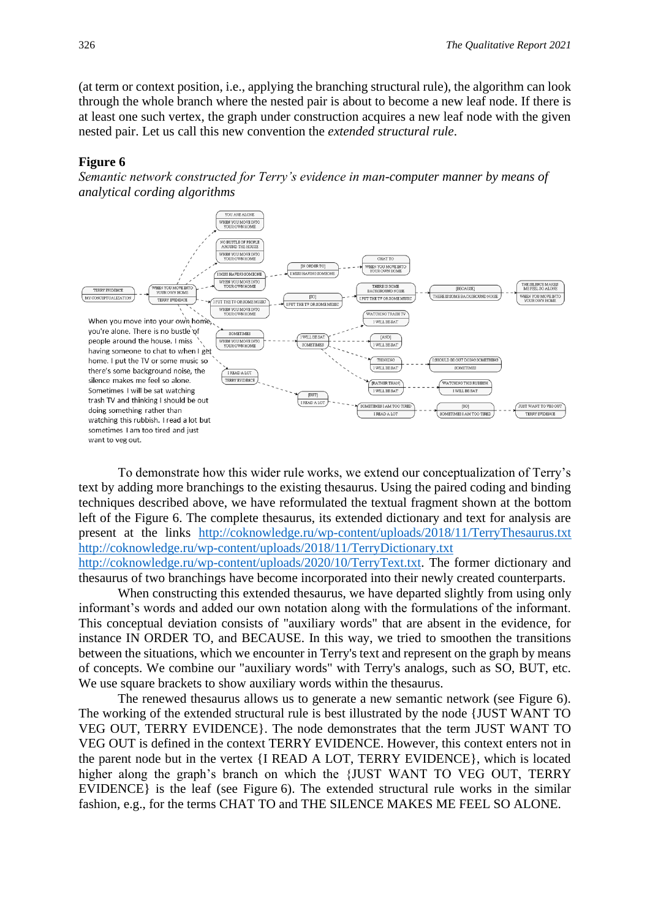(at term or context position, i.e., applying the branching structural rule), the algorithm can look through the whole branch where the nested pair is about to become a new leaf node. If there is at least one such vertex, the graph under construction acquires a new leaf node with the given nested pair. Let us call this new convention the *extended structural rule*.

#### **Figure 6**

*Semantic network constructed for Terry's evidence in man-computer manner by means of analytical cording algorithms*



To demonstrate how this wider rule works, we extend our conceptualization of Terry's text by adding more branchings to the existing thesaurus. Using the paired coding and binding techniques described above, we have reformulated the textual fragment shown at the bottom left of the Figure 6. The complete thesaurus, its extended dictionary and text for analysis are present at the links <http://coknowledge.ru/wp-content/uploads/2018/11/TerryThesaurus.txt> <http://coknowledge.ru/wp-content/uploads/2018/11/TerryDictionary.txt> [http://coknowledge.ru/wp-content/uploads/2020/10/TerryText.txt.](http://coknowledge.ru/wp-content/uploads/2020/10/TerryText.txt) The former dictionary and thesaurus of two branchings have become incorporated into their newly created counterparts.

When constructing this extended thesaurus, we have departed slightly from using only informant's words and added our own notation along with the formulations of the informant. This conceptual deviation consists of "auxiliary words" that are absent in the evidence, for instance IN ORDER TO, and BECAUSE. In this way, we tried to smoothen the transitions between the situations, which we encounter in Terry's text and represent on the graph by means of concepts. We combine our "auxiliary words" with Terry's analogs, such as SO, BUT, etc. We use square brackets to show auxiliary words within the thesaurus.

The renewed thesaurus allows us to generate a new semantic network (see Figure 6). The working of the extended structural rule is best illustrated by the node {JUST WANT TO VEG OUT, TERRY EVIDENCE}. The node demonstrates that the term JUST WANT TO VEG OUT is defined in the context TERRY EVIDENCE. However, this context enters not in the parent node but in the vertex {I READ A LOT, TERRY EVIDENCE}, which is located higher along the graph's branch on which the {JUST WANT TO VEG OUT, TERRY EVIDENCE} is the leaf (see Figure 6). The extended structural rule works in the similar fashion, e.g., for the terms CHAT TO and THE SILENCE MAKES ME FEEL SO ALONE.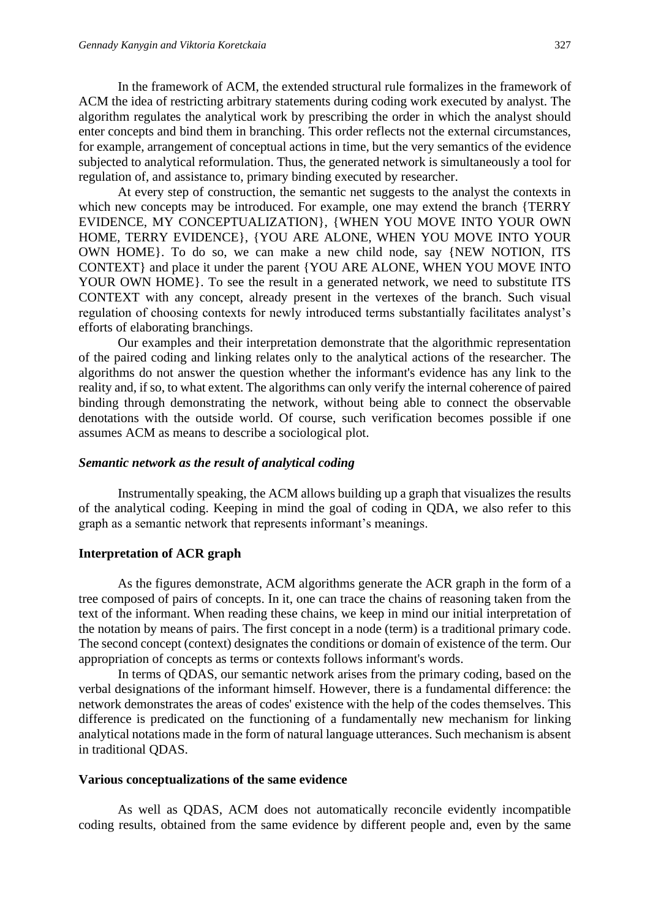In the framework of ACM, the extended structural rule formalizes in the framework of ACM the idea of restricting arbitrary statements during coding work executed by analyst. The algorithm regulates the analytical work by prescribing the order in which the analyst should enter concepts and bind them in branching. This order reflects not the external circumstances, for example, arrangement of conceptual actions in time, but the very semantics of the evidence subjected to analytical reformulation. Thus, the generated network is simultaneously a tool for regulation of, and assistance to, primary binding executed by researcher.

At every step of construction, the semantic net suggests to the analyst the contexts in which new concepts may be introduced. For example, one may extend the branch {TERRY EVIDENCE, MY CONCEPTUALIZATION}, {WHEN YOU MOVE INTO YOUR OWN HOME, TERRY EVIDENCE}, {YOU ARE ALONE, WHEN YOU MOVE INTO YOUR OWN HOME}. To do so, we can make a new child node, say {NEW NOTION, ITS CONTEXT} and place it under the parent {YOU ARE ALONE, WHEN YOU MOVE INTO YOUR OWN HOME}. To see the result in a generated network, we need to substitute ITS CONTEXT with any concept, already present in the vertexes of the branch. Such visual regulation of choosing contexts for newly introduced terms substantially facilitates analyst's efforts of elaborating branchings.

Our examples and their interpretation demonstrate that the algorithmic representation of the paired coding and linking relates only to the analytical actions of the researcher. The algorithms do not answer the question whether the informant's evidence has any link to the reality and, if so, to what extent. The algorithms can only verify the internal coherence of paired binding through demonstrating the network, without being able to connect the observable denotations with the outside world. Of course, such verification becomes possible if one assumes ACM as means to describe a sociological plot.

#### *Semantic network as the result of analytical coding*

Instrumentally speaking, the ACM allows building up a graph that visualizes the results of the analytical coding. Keeping in mind the goal of coding in QDA, we also refer to this graph as a semantic network that represents informant's meanings.

#### **Interpretation of ACR graph**

As the figures demonstrate, ACM algorithms generate the ACR graph in the form of a tree composed of pairs of concepts. In it, one can trace the chains of reasoning taken from the text of the informant. When reading these chains, we keep in mind our initial interpretation of the notation by means of pairs. The first concept in a node (term) is a traditional primary code. The second concept (context) designates the conditions or domain of existence of the term. Our appropriation of concepts as terms or contexts follows informant's words.

In terms of QDAS, our semantic network arises from the primary coding, based on the verbal designations of the informant himself. However, there is a fundamental difference: the network demonstrates the areas of codes' existence with the help of the codes themselves. This difference is predicated on the functioning of a fundamentally new mechanism for linking analytical notations made in the form of natural language utterances. Such mechanism is absent in traditional QDAS.

#### **Various conceptualizations of the same evidence**

As well as QDAS, ACM does not automatically reconcile evidently incompatible coding results, obtained from the same evidence by different people and, even by the same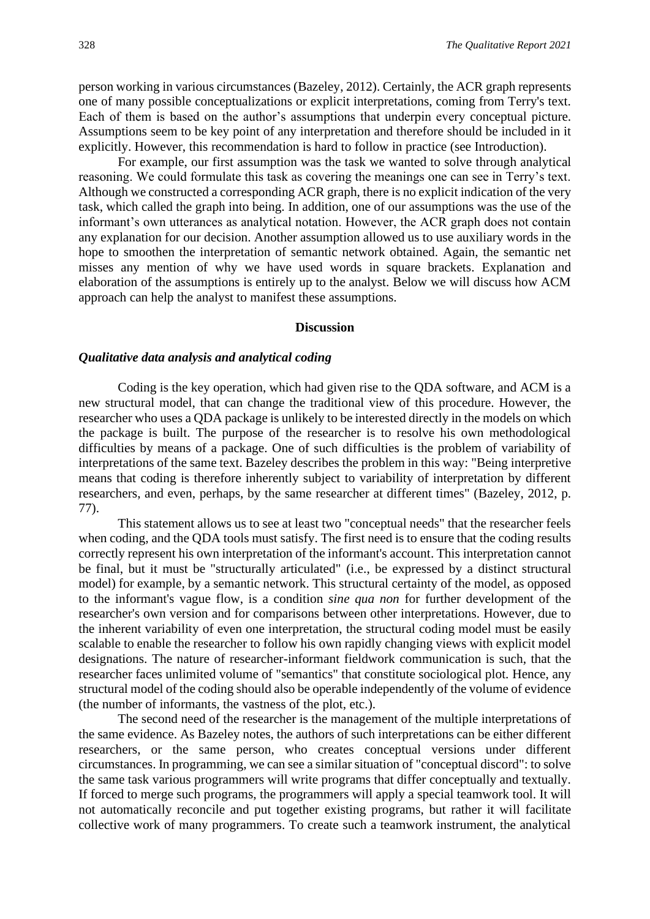person working in various circumstances (Bazeley, 2012). Certainly, the ACR graph represents one of many possible conceptualizations or explicit interpretations, coming from Terry's text. Each of them is based on the author's assumptions that underpin every conceptual picture. Assumptions seem to be key point of any interpretation and therefore should be included in it explicitly. However, this recommendation is hard to follow in practice (see Introduction).

For example, our first assumption was the task we wanted to solve through analytical reasoning. We could formulate this task as covering the meanings one can see in Terry's text. Although we constructed a corresponding ACR graph, there is no explicit indication of the very task, which called the graph into being. In addition, one of our assumptions was the use of the informant's own utterances as analytical notation. However, the ACR graph does not contain any explanation for our decision. Another assumption allowed us to use auxiliary words in the hope to smoothen the interpretation of semantic network obtained. Again, the semantic net misses any mention of why we have used words in square brackets. Explanation and elaboration of the assumptions is entirely up to the analyst. Below we will discuss how ACM approach can help the analyst to manifest these assumptions.

#### **Discussion**

#### *Qualitative data analysis and analytical coding*

Coding is the key operation, which had given rise to the QDA software, and ACM is a new structural model, that can change the traditional view of this procedure. However, the researcher who uses a QDA package is unlikely to be interested directly in the models on which the package is built. The purpose of the researcher is to resolve his own methodological difficulties by means of a package. One of such difficulties is the problem of variability of interpretations of the same text. Bazeley describes the problem in this way: "Being interpretive means that coding is therefore inherently subject to variability of interpretation by different researchers, and even, perhaps, by the same researcher at different times" (Bazeley, 2012, p. 77).

This statement allows us to see at least two "conceptual needs" that the researcher feels when coding, and the QDA tools must satisfy. The first need is to ensure that the coding results correctly represent his own interpretation of the informant's account. This interpretation cannot be final, but it must be "structurally articulated" (i.e., be expressed by a distinct structural model) for example, by a semantic network. This structural certainty of the model, as opposed to the informant's vague flow, is a condition *sine qua non* for further development of the researcher's own version and for comparisons between other interpretations. However, due to the inherent variability of even one interpretation, the structural coding model must be easily scalable to enable the researcher to follow his own rapidly changing views with explicit model designations. The nature of researcher-informant fieldwork communication is such, that the researcher faces unlimited volume of "semantics" that constitute sociological plot. Hence, any structural model of the coding should also be operable independently of the volume of evidence (the number of informants, the vastness of the plot, etc.).

The second need of the researcher is the management of the multiple interpretations of the same evidence. As Bazeley notes, the authors of such interpretations can be either different researchers, or the same person, who creates conceptual versions under different circumstances. In programming, we can see a similar situation of "conceptual discord": to solve the same task various programmers will write programs that differ conceptually and textually. If forced to merge such programs, the programmers will apply a special teamwork tool. It will not automatically reconcile and put together existing programs, but rather it will facilitate collective work of many programmers. To create such a teamwork instrument, the analytical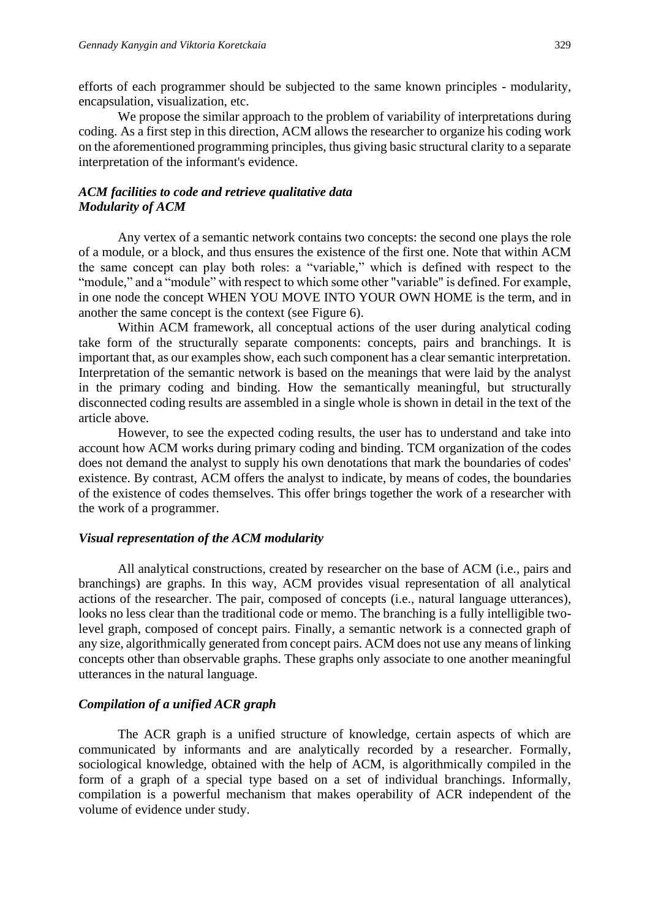efforts of each programmer should be subjected to the same known principles - modularity, encapsulation, visualization, etc.

We propose the similar approach to the problem of variability of interpretations during coding. As a first step in this direction, ACM allows the researcher to organize his coding work on the aforementioned programming principles, thus giving basic structural clarity to a separate interpretation of the informant's evidence.

#### *ACM facilities to code and retrieve qualitative data Modularity of ACM*

Any vertex of a semantic network contains two concepts: the second one plays the role of a module, or a block, and thus ensures the existence of the first one. Note that within ACM the same concept can play both roles: a "variable," which is defined with respect to the "module," and a "module" with respect to which some other "variable" is defined. For example, in one node the concept WHEN YOU MOVE INTO YOUR OWN HOME is the term, and in another the same concept is the context (see Figure 6).

Within ACM framework, all conceptual actions of the user during analytical coding take form of the structurally separate components: concepts, pairs and branchings. It is important that, as our examples show, each such component has a clear semantic interpretation. Interpretation of the semantic network is based on the meanings that were laid by the analyst in the primary coding and binding. How the semantically meaningful, but structurally disconnected coding results are assembled in a single whole is shown in detail in the text of the article above.

However, to see the expected coding results, the user has to understand and take into account how ACM works during primary coding and binding. TCM organization of the codes does not demand the analyst to supply his own denotations that mark the boundaries of codes' existence. By contrast, ACM offers the analyst to indicate, by means of codes, the boundaries of the existence of codes themselves. This offer brings together the work of a researcher with the work of a programmer.

#### *Visual representation of the ACM modularity*

All analytical constructions, created by researcher on the base of ACM (i.e., pairs and branchings) are graphs. In this way, ACM provides visual representation of all analytical actions of the researcher. The pair, composed of concepts (i.e., natural language utterances), looks no less clear than the traditional code or memo. The branching is a fully intelligible twolevel graph, composed of concept pairs. Finally, a semantic network is a connected graph of any size, algorithmically generated from concept pairs. ACM does not use any means of linking concepts other than observable graphs. These graphs only associate to one another meaningful utterances in the natural language.

#### *Compilation of a unified ACR graph*

The ACR graph is a unified structure of knowledge, certain aspects of which are communicated by informants and are analytically recorded by a researcher. Formally, sociological knowledge, obtained with the help of ACM, is algorithmically compiled in the form of a graph of a special type based on a set of individual branchings. Informally, compilation is a powerful mechanism that makes operability of ACR independent of the volume of evidence under study.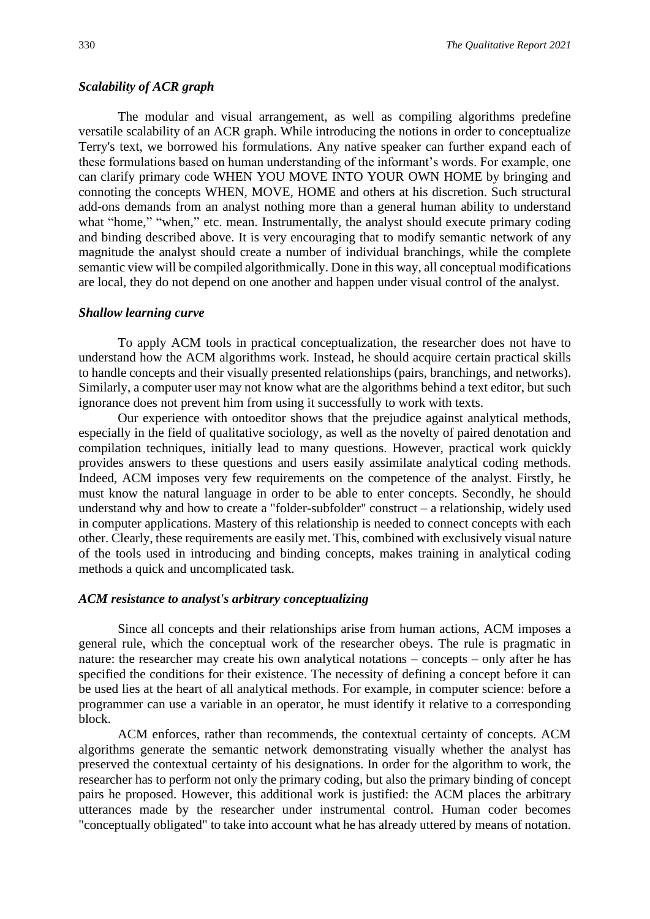#### *Scalability of ACR graph*

The modular and visual arrangement, as well as compiling algorithms predefine versatile scalability of an ACR graph. While introducing the notions in order to conceptualize Terry's text, we borrowed his formulations. Any native speaker can further expand each of these formulations based on human understanding of the informant's words. For example, one can clarify primary code WHEN YOU MOVE INTO YOUR OWN HOME by bringing and connoting the concepts WHEN, MOVE, HOME and others at his discretion. Such structural add-ons demands from an analyst nothing more than a general human ability to understand what "home," "when," etc. mean. Instrumentally, the analyst should execute primary coding and binding described above. It is very encouraging that to modify semantic network of any magnitude the analyst should create a number of individual branchings, while the complete semantic view will be compiled algorithmically. Done in this way, all conceptual modifications are local, they do not depend on one another and happen under visual control of the analyst.

#### *Shallow learning curve*

To apply ACM tools in practical conceptualization, the researcher does not have to understand how the ACM algorithms work. Instead, he should acquire certain practical skills to handle concepts and their visually presented relationships (pairs, branchings, and networks). Similarly, a computer user may not know what are the algorithms behind a text editor, but such ignorance does not prevent him from using it successfully to work with texts.

Our experience with ontoeditor shows that the prejudice against analytical methods, especially in the field of qualitative sociology, as well as the novelty of paired denotation and compilation techniques, initially lead to many questions. However, practical work quickly provides answers to these questions and users easily assimilate analytical coding methods. Indeed, ACM imposes very few requirements on the competence of the analyst. Firstly, he must know the natural language in order to be able to enter concepts. Secondly, he should understand why and how to create a "folder-subfolder" construct – a relationship, widely used in computer applications. Mastery of this relationship is needed to connect concepts with each other. Clearly, these requirements are easily met. This, combined with exclusively visual nature of the tools used in introducing and binding concepts, makes training in analytical coding methods a quick and uncomplicated task.

#### *ACM resistance to analyst's arbitrary conceptualizing*

Since all concepts and their relationships arise from human actions, ACM imposes a general rule, which the conceptual work of the researcher obeys. The rule is pragmatic in nature: the researcher may create his own analytical notations – concepts – only after he has specified the conditions for their existence. The necessity of defining a concept before it can be used lies at the heart of all analytical methods. For example, in computer science: before a programmer can use a variable in an operator, he must identify it relative to a corresponding block.

ACM enforces, rather than recommends, the contextual certainty of concepts. ACM algorithms generate the semantic network demonstrating visually whether the analyst has preserved the contextual certainty of his designations. In order for the algorithm to work, the researcher has to perform not only the primary coding, but also the primary binding of concept pairs he proposed. However, this additional work is justified: the ACM places the arbitrary utterances made by the researcher under instrumental control. Human coder becomes "conceptually obligated" to take into account what he has already uttered by means of notation.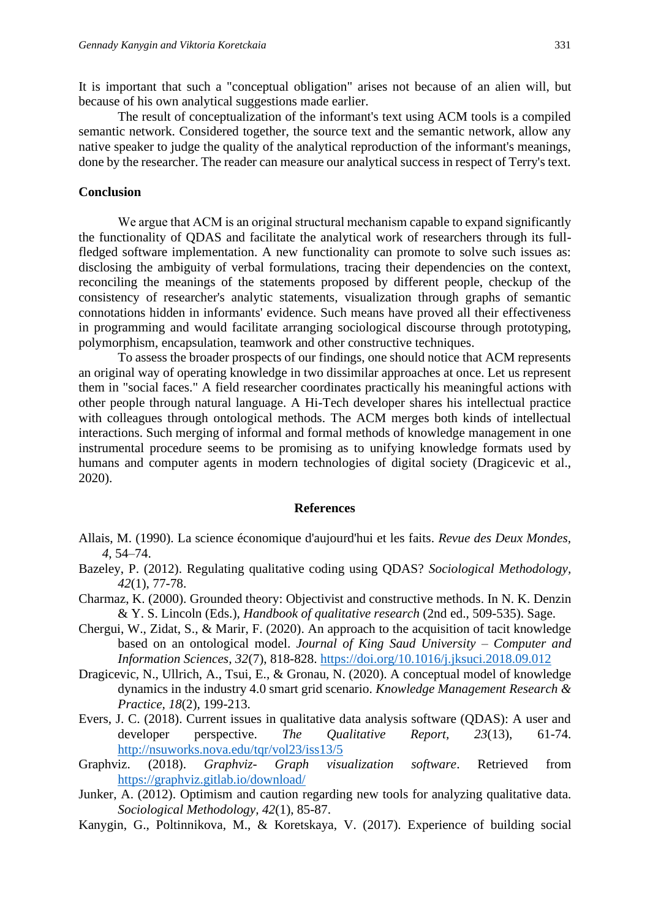It is important that such a "conceptual obligation" arises not because of an alien will, but because of his own analytical suggestions made earlier.

The result of conceptualization of the informant's text using ACM tools is a compiled semantic network. Considered together, the source text and the semantic network, allow any native speaker to judge the quality of the analytical reproduction of the informant's meanings, done by the researcher. The reader can measure our analytical success in respect of Terry's text.

#### **Conclusion**

We argue that ACM is an original structural mechanism capable to expand significantly the functionality of QDAS and facilitate the analytical work of researchers through its fullfledged software implementation. A new functionality can promote to solve such issues as: disclosing the ambiguity of verbal formulations, tracing their dependencies on the context, reconciling the meanings of the statements proposed by different people, checkup of the consistency of researcher's analytic statements, visualization through graphs of semantic connotations hidden in informants' evidence. Such means have proved all their effectiveness in programming and would facilitate arranging sociological discourse through prototyping, polymorphism, encapsulation, teamwork and other constructive techniques.

To assess the broader prospects of our findings, one should notice that ACM represents an original way of operating knowledge in two dissimilar approaches at once. Let us represent them in "social faces." A field researcher coordinates practically his meaningful actions with other people through natural language. A Hi-Tech developer shares his intellectual practice with colleagues through ontological methods. The ACM merges both kinds of intellectual interactions. Such merging of informal and formal methods of knowledge management in one instrumental procedure seems to be promising as to unifying knowledge formats used by humans and computer agents in modern technologies of digital society (Dragicevic et al., 2020).

#### **References**

- Allais, M. (1990). La science économique d'aujourd'hui et les faits. *Revue des Deux Mondes, 4*, 54–74.
- Bazeley, P. (2012). Regulating qualitative coding using QDAS? *Sociological Methodology, 42*(1), 77-78.
- Charmaz, K. (2000). Grounded theory: Objectivist and constructive methods. In N. K. Denzin & Y. S. Lincoln (Eds.), *Handbook of qualitative research* (2nd ed., 509-535). Sage.
- Chergui, W., Zidat, S., & Marir, F. (2020). An approach to the acquisition of tacit knowledge based on an ontological model. *Journal of King Saud University – Computer and Information Sciences, 32*(7), 818-828.<https://doi.org/10.1016/j.jksuci.2018.09.012>
- Dragicevic, N., Ullrich, A., Tsui, E., & Gronau, N. (2020). A conceptual model of knowledge dynamics in the industry 4.0 smart grid scenario. *Knowledge Management Research & Practice, 18*(2), 199-213.
- Evers, J. C. (2018). Current issues in qualitative data analysis software (QDAS): A user and developer perspective. *The Qualitative Report, 23*(13), 61-74. <http://nsuworks.nova.edu/tqr/vol23/iss13/5>
- Graphviz. (2018). *Graphviz- Graph visualization software*. Retrieved from <https://graphviz.gitlab.io/download/>
- Junker, A. (2012). Optimism and caution regarding new tools for analyzing qualitative data. *Sociological Methodology, 42*(1), 85-87.
- Kanygin, G., Poltinnikova, M., & Koretskaya, V. (2017). Experience of building social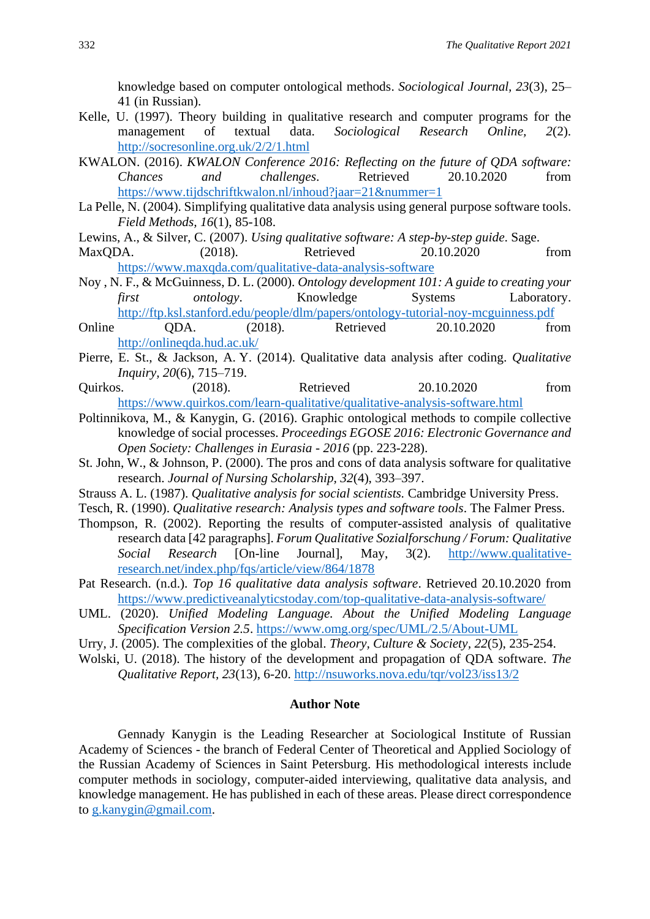knowledge based on computer ontological methods. *Sociological Journal, 23*(3), 25– 41 (in Russian).

- Kelle, U. (1997). Theory building in qualitative research and computer programs for the management of textual data. *Sociological Research Online, 2*(2). <http://socresonline.org.uk/2/2/1.html>
- KWALON. (2016). *KWALON Conference 2016: Reflecting on the future of QDA software: Chances and challenges*. Retrieved 20.10.2020 from <https://www.tijdschriftkwalon.nl/inhoud?jaar=21&nummer=1>
- La Pelle, N. (2004). Simplifying qualitative data analysis using general purpose software tools. *Field Methods, 16*(1), 85-108.
- Lewins, A., & Silver, C. (2007). *Using qualitative software: A step-by-step guide*. Sage.
- MaxQDA. (2018). Retrieved 20.10.2020 from <https://www.maxqda.com/qualitative-data-analysis-software>
- Noy , N. F., & McGuinness, D. L. (2000). *Ontology development 101: A guide to creating your first ontology*. Knowledge Systems Laboratory. <http://ftp.ksl.stanford.edu/people/dlm/papers/ontology-tutorial-noy-mcguinness.pdf>
- Online QDA. (2018). Retrieved 20.10.2020 from <http://onlineqda.hud.ac.uk/>
- Pierre, E. St., & Jackson, A. Y. (2014). Qualitative data analysis after coding. *Qualitative Inquiry, 20*(6), 715–719.
- Quirkos. (2018). Retrieved 20.10.2020 from <https://www.quirkos.com/learn-qualitative/qualitative-analysis-software.html>
- Poltinnikova, M., & Kanygin, G. (2016). Graphic ontological methods to compile collective knowledge of social processes. *Proceedings EGOSE 2016: Electronic Governance and Open Society: Challenges in Eurasia - 2016* (pp. 223-228).
- St. John, W., & Johnson, P. (2000). The pros and cons of data analysis software for qualitative research. *Journal of Nursing Scholarship, 32*(4), 393–397.
- Strauss A. L. (1987). *Qualitative analysis for social scientists.* Cambridge University Press.
- Tesch, R. (1990). *Qualitative research: Analysis types and software tools*. The Falmer Press.
- Thompson, R. (2002). Reporting the results of computer-assisted analysis of qualitative research data [42 paragraphs]. *Forum Qualitative Sozialforschung / Forum: Qualitative Social Research* [On-line Journal], May, 3(2). [http://www.qualitative](http://www.qualitative-research.net/index.php/fqs/article/view/864/1878)[research.net/index.php/fqs/article/view/864/1878](http://www.qualitative-research.net/index.php/fqs/article/view/864/1878)
- Pat Research. (n.d.). *Top 16 qualitative data analysis software*. Retrieved 20.10.2020 from <https://www.predictiveanalyticstoday.com/top-qualitative-data-analysis-software/>
- UML. (2020). *Unified Modeling Language. About the Unified Modeling Language Specification Version 2.5*.<https://www.omg.org/spec/UML/2.5/About-UML>
- Urry, J. (2005). The complexities of the global. *Theory, Culture & Society, 22*(5), 235-254.
- Wolski, U. (2018). The history of the development and propagation of QDA software. *The Qualitative Report, 23*(13), 6-20.<http://nsuworks.nova.edu/tqr/vol23/iss13/2>

#### **Author Note**

Gennady Kanygin is the Leading Researcher at Sociological Institute of Russian Academy of Sciences - the branch of Federal Center of Theoretical and Applied Sociology of the Russian Academy of Sciences in Saint Petersburg. His methodological interests include computer methods in sociology, computer-aided interviewing, qualitative data analysis, and knowledge management. He has published in each of these areas. Please direct correspondence to [g.kanygin@gmail.com.](mailto:g.kanygin@gmail.com)